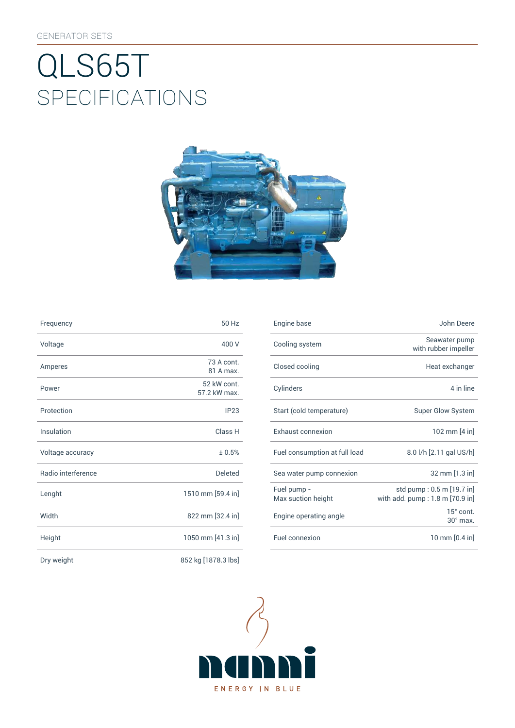# SpEcificATiONS QLS65T



| Frequency          | 50 Hz                       | Engine base                |
|--------------------|-----------------------------|----------------------------|
| Voltage            | 400 V                       | Cooling syst               |
| Amperes            | 73 A cont.<br>81 A max.     | Closed cooli               |
| Power              | 52 kW cont.<br>57.2 kW max. | Cylinders                  |
| Protection         | IP23                        | Start (cold te             |
| Insulation         | Class H                     | Exhaust con                |
| Voltage accuracy   | ± 0.5%                      | Fuel consum                |
| Radio interference | <b>Deleted</b>              | Sea water pu               |
| Lenght             | 1510 mm [59.4 in]           | Fuel pump -<br>Max suction |
| Width              | 822 mm [32.4 in]            | Engine opera               |
| Height             | 1050 mm [41.3 in]           | Fuel connexi               |
| Dry weight         | 852 kg [1878.3 lbs]         |                            |

| Frequency          | 50 Hz                       | Engine base                       | John Deere                                                   |
|--------------------|-----------------------------|-----------------------------------|--------------------------------------------------------------|
| Voltage            | 400 V                       | Cooling system                    | Seawater pump<br>with rubber impeller                        |
| Amperes            | 73 A cont.<br>81 A max.     | Closed cooling                    | Heat exchanger                                               |
| Power              | 52 kW cont.<br>57.2 kW max. | Cylinders                         | 4 in line                                                    |
| Protection         | IP23                        | Start (cold temperature)          | <b>Super Glow System</b>                                     |
| <b>Insulation</b>  | Class H                     | Exhaust connexion                 | 102 mm [4 in]                                                |
| Voltage accuracy   | ± 0.5%                      | Fuel consumption at full load     | 8.0 l/h [2.11 gal US/h]                                      |
| Radio interference | Deleted                     | Sea water pump connexion          | 32 mm [1.3 in]                                               |
| Lenght             | 1510 mm [59.4 in]           | Fuel pump -<br>Max suction height | std pump: 0.5 m [19.7 in]<br>with add. pump: 1.8 m [70.9 in] |
| Width              | 822 mm [32.4 in]            | Engine operating angle            | 15° cont.<br>$30^\circ$ max.                                 |
| Height             | 1050 mm [41.3 in]           | Fuel connexion                    | 10 mm [0.4 in]                                               |